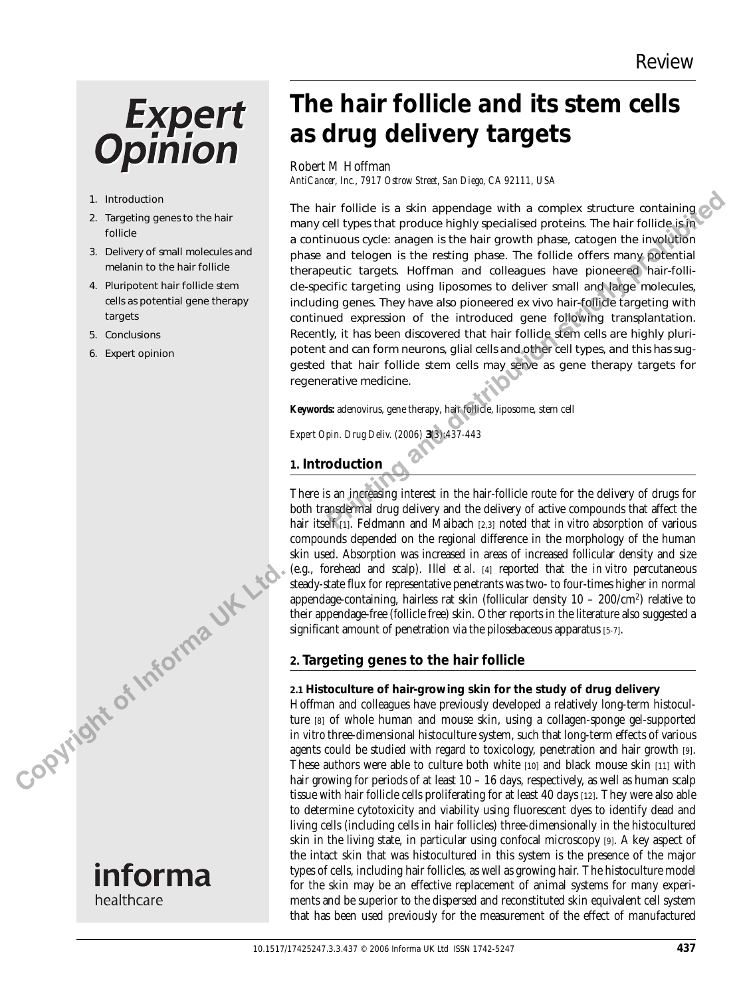# **Expert Opinion**

- 1. Introduction
- 2. Targeting genes to the hair follicle
- 3. Delivery of small molecules and melanin to the hair follicle
- 4. Pluripotent hair follicle stem cells as potential gene therapy targets
- 5. Conclusions
- 6. Expert opinion





# **The hair follicle and its stem cells as drug delivery targets**

## Robert M Hoffman

*AntiCancer, Inc., 7917 Ostrow Street, San Diego, CA 92111, USA*

The hair follicle is a skin appendage with a complex structure containing many cell types that produce highly specialised proteins. The hair follicle is in a continuous cycle: anagen is the hair growth phase, catogen the involution phase and telogen is the resting phase. The follicle offers many potential therapeutic targets. Hoffman and colleagues have pioneered hair-follicle-specific targeting using liposomes to deliver small and large molecules, including genes. They have also pioneered *ex vivo* hair-follicle targeting with continued expression of the introduced gene following transplantation. Recently, it has been discovered that hair follicle stem cells are highly pluripotent and can form neurons, glial cells and other cell types, and this has suggested that hair follicle stem cells may serve as gene therapy targets for regenerative medicine. ir follicle is a skin appendage with a complex structure containing<br>
rell types that produce highly specialised proteins. The hair follicle is in<br>
muous cycle: anagen is the hair growth phase, catogen the involution<br>
and t

**Keywords:** adenovirus, gene therapy, hair follicle, liposome, stem cell

*Expert Opin. Drug Deliv. (2006) 3(3):437-443*

# **1. Introduction**

There is an increasing interest in the hair-follicle route for the delivery of drugs for both transdermal drug delivery and the delivery of active compounds that affect the hair itself [1]. Feldmann and Maibach [2,3] noted that *in vitro* absorption of various compounds depended on the regional difference in the morphology of the human skin used. Absorption was increased in areas of increased follicular density and size (e.g., forehead and scalp). Illel *et al.* [4] reported that the *in vitro* percutaneous steady-state flux for representative penetrants was two- to four-times higher in normal appendage-containing, hairless rat skin (follicular density 10 – 200/cm2) relative to their appendage-free (follicle free) skin. Other reports in the literature also suggested a significant amount of penetration via the pilosebaceous apparatus [5-7].

# **2. Targeting genes to the hair follicle**

# **2.1 Histoculture of hair-growing skin for the study of drug delivery**

Hoffman and colleagues have previously developed a relatively long-term histoculture [8] of whole human and mouse skin, using a collagen-sponge gel-supported *in vitro* three-dimensional histoculture system, such that long-term effects of various agents could be studied with regard to toxicology, penetration and hair growth [9]. These authors were able to culture both white [10] and black mouse skin [11] with hair growing for periods of at least  $10 - 16$  days, respectively, as well as human scalp tissue with hair follicle cells proliferating for at least 40 days [12]. They were also able to determine cytotoxicity and viability using fluorescent dyes to identify dead and living cells (including cells in hair follicles) three-dimensionally in the histocultured skin in the living state, in particular using confocal microscopy [9]. A key aspect of the intact skin that was histocultured in this system is the presence of the major types of cells, including hair follicles, as well as growing hair. The histoculture model for the skin may be an effective replacement of animal systems for many experiments and be superior to the dispersed and reconstituted skin equivalent cell system that has been used previously for the measurement of the effect of manufactured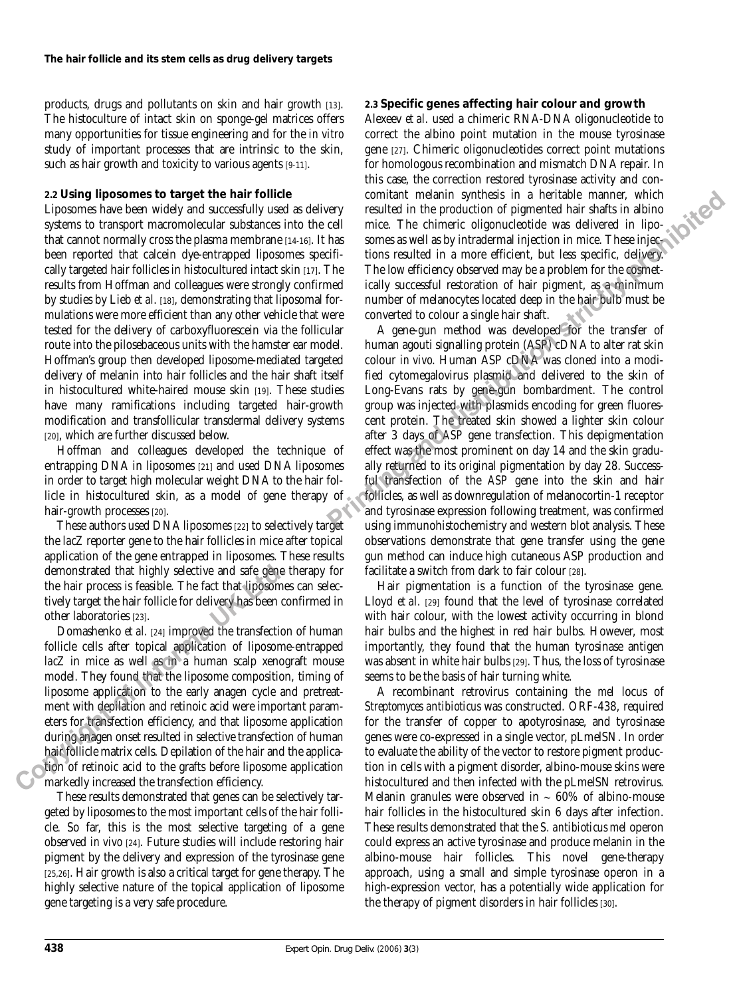products, drugs and pollutants on skin and hair growth [13]. The histoculture of intact skin on sponge-gel matrices offers many opportunities for tissue engineering and for the *in vitro* study of important processes that are intrinsic to the skin, such as hair growth and toxicity to various agents [9-11].

#### **2.2 Using liposomes to target the hair follicle**

Liposomes have been widely and successfully used as delivery systems to transport macromolecular substances into the cell that cannot normally cross the plasma membrane [14-16]. It has been reported that calcein dye-entrapped liposomes specifically targeted hair follicles in histocultured intact skin [17]. The results from Hoffman and colleagues were strongly confirmed by studies by Lieb *et al.* [18], demonstrating that liposomal formulations were more efficient than any other vehicle that were tested for the delivery of carboxyfluorescein via the follicular route into the pilosebaceous units with the hamster ear model. Hoffman's group then developed liposome-mediated targeted delivery of melanin into hair follicles and the hair shaft itself in histocultured white-haired mouse skin [19]. These studies have many ramifications including targeted hair-growth modification and transfollicular transdermal delivery systems [20], which are further discussed below.

Hoffman and colleagues developed the technique of entrapping DNA in liposomes [21] and used DNA liposomes in order to target high molecular weight DNA to the hair follicle in histocultured skin, as a model of gene therapy of hair-growth processes [20].

These authors used DNA liposomes [22] to selectively target the *lacZ* reporter gene to the hair follicles in mice after topical application of the gene entrapped in liposomes. These results demonstrated that highly selective and safe gene therapy for the hair process is feasible. The fact that liposomes can selectively target the hair follicle for delivery has been confirmed in other laboratories [23].

Domashenko *et al.* [24] improved the transfection of human follicle cells after topical application of liposome-entrapped *lacZ* in mice as well as in a human scalp xenograft mouse model. They found that the liposome composition, timing of liposome application to the early anagen cycle and pretreatment with depilation and retinoic acid were important parameters for transfection efficiency, and that liposome application during anagen onset resulted in selective transfection of human hair follicle matrix cells. Depilation of the hair and the application of retinoic acid to the grafts before liposome application markedly increased the transfection efficiency. demonstrated that highly selective and safe gene<br>the hair process is feasible. The fact that liposome<br>tively target the hair follicle for delivery has been c<br>other laboratories [23].<br>Domashenko *et al.* [24] improved the t

These results demonstrated that genes can be selectively targeted by liposomes to the most important cells of the hair follicle. So far, this is the most selective targeting of a gene observed *in vivo* [24]. Future studies will include restoring hair pigment by the delivery and expression of the tyrosinase gene [25,26]. Hair growth is also a critical target for gene therapy. The highly selective nature of the topical application of liposome gene targeting is a very safe procedure.

## **2.3 Specific genes affecting hair colour and growth**

Alexeev *et al.* used a chimeric RNA-DNA oligonucleotide to correct the albino point mutation in the mouse tyrosinase gene [27]. Chimeric oligonucleotides correct point mutations for homologous recombination and mismatch DNA repair. In this case, the correction restored tyrosinase activity and concomitant melanin synthesis in a heritable manner, which resulted in the production of pigmented hair shafts in albino mice. The chimeric oligonucleotide was delivered in liposomes as well as by intradermal injection in mice. These injections resulted in a more efficient, but less specific, delivery. The low efficiency observed may be a problem for the cosmetically successful restoration of hair pigment, as a minimum number of melanocytes located deep in the hair bulb must be converted to colour a single hair shaft.

A gene-gun method was developed for the transfer of human agouti signalling protein (ASP) cDNA to alter rat skin colour *in vivo*. Human ASP cDNA was cloned into a modified cytomegalovirus plasmid and delivered to the skin of Long-Evans rats by gene-gun bombardment. The control group was injected with plasmids encoding for green fluorescent protein. The treated skin showed a lighter skin colour after 3 days of *ASP* gene transfection. This depigmentation effect was the most prominent on day 14 and the skin gradually returned to its original pigmentation by day 28. Successful transfection of the *ASP* gene into the skin and hair follicles, as well as downregulation of melanocortin-1 receptor and tyrosinase expression following treatment, was confirmed using immunohistochemistry and western blot analysis. These observations demonstrate that gene transfer using the gene gun method can induce high cutaneous ASP production and facilitate a switch from dark to fair colour [28]. comitant melanin synthesis in a heritable manner, which<br>respectived in the production of pigmented hair shafts in albino<br>cell<br>mice. The chimeric oligonucleotide was delivered in lipo-<br>has<br>somes as well as by intradermal in

Hair pigmentation is a function of the tyrosinase gene. Lloyd *et al.* [29] found that the level of tyrosinase correlated with hair colour, with the lowest activity occurring in blond hair bulbs and the highest in red hair bulbs. However, most importantly, they found that the human tyrosinase antigen was absent in white hair bulbs [29]. Thus, the loss of tyrosinase seems to be the basis of hair turning white.

A recombinant retrovirus containing the *mel* locus of *Streptomyces antibioticus* was constructed. ORF-438, required for the transfer of copper to apotyrosinase, and tyrosinase genes were co-expressed in a single vector, pLmelSN. In order to evaluate the ability of the vector to restore pigment production in cells with a pigment disorder, albino-mouse skins were histocultured and then infected with the pLmelSN retrovirus. Melanin granules were observed in ∼ 60% of albino-mouse hair follicles in the histocultured skin 6 days after infection. These results demonstrated that the *S. antibioticus mel* operon could express an active tyrosinase and produce melanin in the albino-mouse hair follicles. This novel gene-therapy approach, using a small and simple tyrosinase operon in a high-expression vector, has a potentially wide application for the therapy of pigment disorders in hair follicles [30].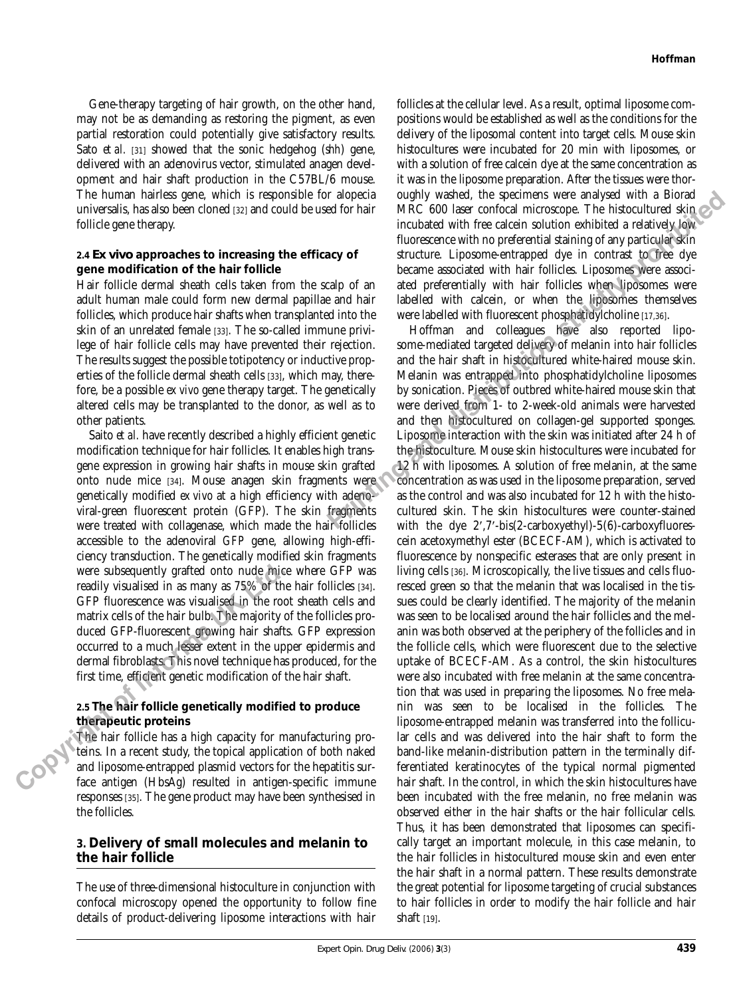Gene-therapy targeting of hair growth, on the other hand, may not be as demanding as restoring the pigment, as even partial restoration could potentially give satisfactory results. Sato *et al.* [31] showed that the sonic hedgehog (*shh*) gene, delivered with an adenovirus vector, stimulated anagen development and hair shaft production in the C57BL/6 mouse. The human hairless gene, which is responsible for alopecia universalis, has also been cloned [32] and could be used for hair follicle gene therapy.

#### **2.4** *Ex vivo* **approaches to increasing the efficacy of gene modification of the hair follicle**

Hair follicle dermal sheath cells taken from the scalp of an adult human male could form new dermal papillae and hair follicles, which produce hair shafts when transplanted into the skin of an unrelated female [33]. The so-called immune privilege of hair follicle cells may have prevented their rejection. The results suggest the possible totipotency or inductive properties of the follicle dermal sheath cells [33], which may, therefore, be a possible *ex vivo* gene therapy target. The genetically altered cells may be transplanted to the donor, as well as to other patients.

Saito *et al.* have recently described a highly efficient genetic modification technique for hair follicles. It enables high transgene expression in growing hair shafts in mouse skin grafted onto nude mice [34]. Mouse anagen skin fragments were genetically modified *ex vivo* at a high efficiency with adenoviral-green fluorescent protein (GFP). The skin fragments were treated with collagenase, which made the hair follicles accessible to the adenoviral *GFP* gene, allowing high-efficiency transduction. The genetically modified skin fragments were subsequently grafted onto nude mice where GFP was readily visualised in as many as 75% of the hair follicles [34]. GFP fluorescence was visualised in the root sheath cells and matrix cells of the hair bulb. The majority of the follicles produced GFP-fluorescent growing hair shafts. GFP expression occurred to a much lesser extent in the upper epidermis and dermal fibroblasts. This novel technique has produced, for the first time, efficient genetic modification of the hair shaft. were subsequently grafted onto nude mic<br>readily visualised in as many as 75% of th<br>GFP fluorescence was visualised in the root<br>matrix cells of the hair bulb. The majority of<br>duced GFP-fluorescent growing hair shaft<br>occurre

#### **2.5 The hair follicle genetically modified to produce therapeutic proteins**

The hair follicle has a high capacity for manufacturing proteins. In a recent study, the topical application of both naked and liposome-entrapped plasmid vectors for the hepatitis surface antigen (HbsAg) resulted in antigen-specific immune responses [35]. The gene product may have been synthesised in the follicles.

# **3. Delivery of small molecules and melanin to the hair follicle**

The use of three-dimensional histoculture in conjunction with confocal microscopy opened the opportunity to follow fine details of product-delivering liposome interactions with hair

follicles at the cellular level. As a result, optimal liposome compositions would be established as well as the conditions for the delivery of the liposomal content into target cells. Mouse skin histocultures were incubated for 20 min with liposomes, or with a solution of free calcein dye at the same concentration as it was in the liposome preparation. After the tissues were thoroughly washed, the specimens were analysed with a Biorad MRC 600 laser confocal microscope. The histocultured skin incubated with free calcein solution exhibited a relatively low fluorescence with no preferential staining of any particular skin structure. Liposome-entrapped dye in contrast to free dye became associated with hair follicles. Liposomes were associated preferentially with hair follicles when liposomes were labelled with calcein, or when the liposomes themselves were labelled with fluorescent phosphatidylcholine [17,36].

Hoffman and colleagues have also reported liposome-mediated targeted delivery of melanin into hair follicles and the hair shaft in histocultured white-haired mouse skin. Melanin was entrapped into phosphatidylcholine liposomes by sonication. Pieces of outbred white-haired mouse skin that were derived from 1- to 2-week-old animals were harvested and then histocultured on collagen-gel supported sponges. Liposome interaction with the skin was initiated after 24 h of the histoculture. Mouse skin histocultures were incubated for 12 h with liposomes. A solution of free melanin, at the same concentration as was used in the liposome preparation, served as the control and was also incubated for 12 h with the histocultured skin. The skin histocultures were counter-stained with the dye 2′,7′-bis(2-carboxyethyl)-5(6)-carboxyfluorescein acetoxymethyl ester (BCECF-AM), which is activated to fluorescence by nonspecific esterases that are only present in living cells [36]. Microscopically, the live tissues and cells fluoresced green so that the melanin that was localised in the tissues could be clearly identified. The majority of the melanin was seen to be localised around the hair follicles and the melanin was both observed at the periphery of the follicles and in the follicle cells, which were fluorescent due to the selective uptake of BCECF-AM. As a control, the skin histocultures were also incubated with free melanin at the same concentration that was used in preparing the liposomes. No free melanin was seen to be localised in the follicles. The liposome-entrapped melanin was transferred into the follicular cells and was delivered into the hair shaft to form the band-like melanin-distribution pattern in the terminally differentiated keratinocytes of the typical normal pigmented hair shaft. In the control, in which the skin histocultures have been incubated with the free melanin, no free melanin was observed either in the hair shafts or the hair follicular cells. Thus, it has been demonstrated that liposomes can specifically target an important molecule, in this case melanin, to the hair follicles in histocultured mouse skin and even enter the hair shaft in a normal pattern. These results demonstrate the great potential for liposome targeting of crucial substances to hair follicles in order to modify the hair follicle and hair shaft [19]. r alopecia<br>
oughly washed, the specimens were analysed with a Biorad<br>
MRC 600 laser confocal microscope. The histocultured skin<br>
incubated with fire calcelin solution exhibited a relatively.<br>Is and fluorescence with no pre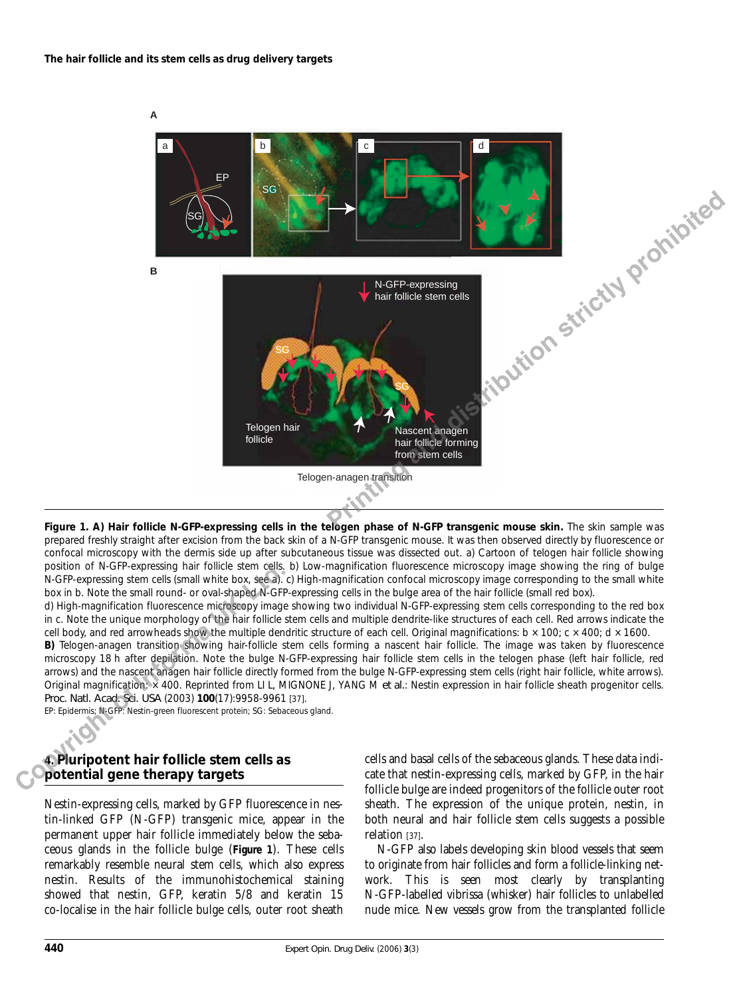

Figure 1. A) Hair follicle N-GFP-expressing cells in the telogen phase of N-GFP transgenic mouse skin. The skin sample was prepared freshly straight after excision from the back skin of a N-GFP transgenic mouse. It was then observed directly by fluorescence or confocal microscopy with the dermis side up after subcutaneous tissue was dissected out. a) Cartoon of telogen hair follicle showing position of N-GFP-expressing hair follicle stem cells. b) Low-magnification fluorescence microscopy image showing the ring of bulge N-GFP-expressing stem cells (small white box, see a). c) High-magnification confocal microscopy image corresponding to the small white box in b. Note the small round- or oval-shaped N-GFP-expressing cells in the bulge area of the hair follicle (small red box).

d) High-magnification fluorescence microscopy image showing two individual N-GFP-expressing stem cells corresponding to the red box in c. Note the unique morphology of the hair follicle stem cells and multiple dendrite-like structures of each cell. Red arrows indicate the cell body, and red arrowheads show the multiple dendritic structure of each cell. Original magnifications:  $b \times 100$ ;  $c \times 400$ ;  $d \times 1600$ .

**B)** Telogen-anagen transition showing hair-follicle stem cells forming a nascent hair follicle. The image was taken by fluorescence microscopy 18 h after depilation. Note the bulge N-GFP-expressing hair follicle stem cells in the telogen phase (left hair follicle, red arrows) and the nascent anagen hair follicle directly formed from the bulge N-GFP-expressing stem cells (right hair follicle, white arrows). Original magnification: × 400. Reprinted from LI L, MIGNONE J, YANG M *et al.*: Nestin expression in hair follicle sheath progenitor cells. *Proc. Natl. Acad. Sci. USA* (2003) **100**(17):9958-9961 [37]. position of N-GFP-expressing hair follicle stem cells.<br>
N-GFP-expressing stem cells (small white box, see a).<br>
box in b. Note the small round- or oval-shaped N-GFF<br>
d) High-magnification fluorescence microscopy image<br>
in c

EP: Epidermis; N-GFP: Nestin-green fluorescent protein; SG: Sebaceous gland.

# **4. Pluripotent hair follicle stem cells as potential gene therapy targets**

Nestin-expressing cells, marked by GFP fluorescence in nestin-linked GFP (N-GFP) transgenic mice, appear in the permanent upper hair follicle immediately below the sebaceous glands in the follicle bulge (**Figure 1**). These cells remarkably resemble neural stem cells, which also express nestin. Results of the immunohistochemical staining showed that nestin, GFP, keratin 5/8 and keratin 15 co-localise in the hair follicle bulge cells, outer root sheath cells and basal cells of the sebaceous glands. These data indicate that nestin-expressing cells, marked by GFP, in the hair follicle bulge are indeed progenitors of the follicle outer root sheath. The expression of the unique protein, nestin, in both neural and hair follicle stem cells suggests a possible relation [37].

N-GFP also labels developing skin blood vessels that seem to originate from hair follicles and form a follicle-linking network. This is seen most clearly by transplanting N-GFP-labelled vibrissa (whisker) hair follicles to unlabelled nude mice. New vessels grow from the transplanted follicle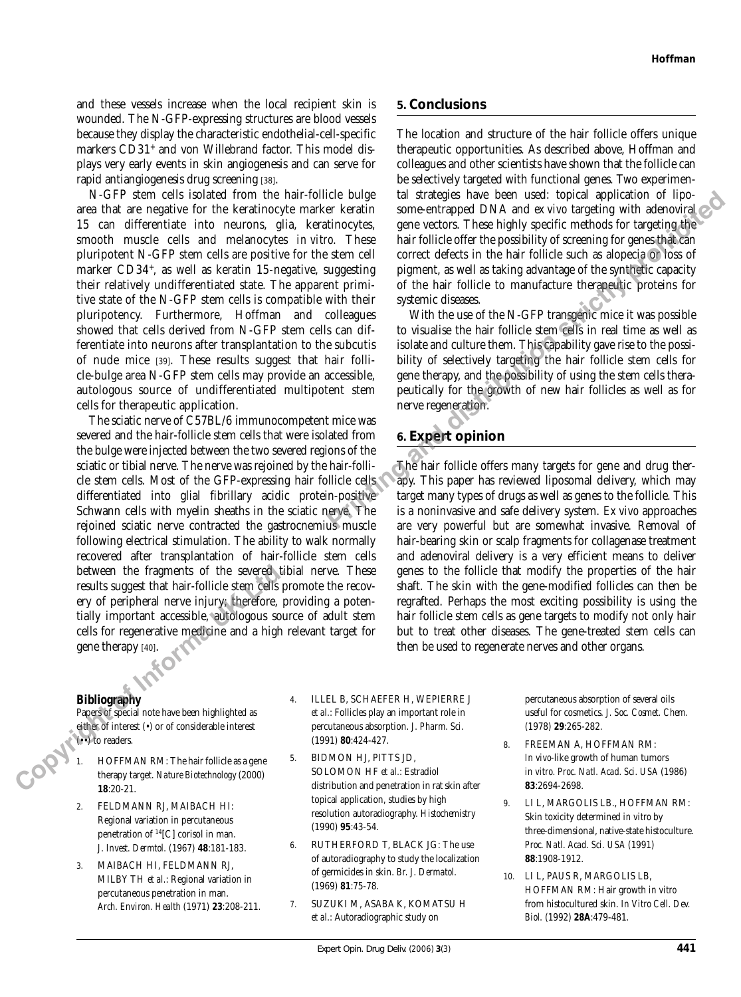and these vessels increase when the local recipient skin is wounded. The N-GFP-expressing structures are blood vessels because they display the characteristic endothelial-cell-specific markers CD31<sup>+</sup> and von Willebrand factor. This model displays very early events in skin angiogenesis and can serve for rapid antiangiogenesis drug screening [38].

N-GFP stem cells isolated from the hair-follicle bulge area that are negative for the keratinocyte marker keratin 15 can differentiate into neurons, glia, keratinocytes, smooth muscle cells and melanocytes *in vitro*. These pluripotent N-GFP stem cells are positive for the stem cell marker CD34+, as well as keratin 15-negative, suggesting their relatively undifferentiated state. The apparent primitive state of the N-GFP stem cells is compatible with their pluripotency. Furthermore, Hoffman and colleagues showed that cells derived from N-GFP stem cells can differentiate into neurons after transplantation to the subcutis of nude mice [39]. These results suggest that hair follicle-bulge area N-GFP stem cells may provide an accessible, autologous source of undifferentiated multipotent stem cells for therapeutic application.

The sciatic nerve of C57BL/6 immunocompetent mice was severed and the hair-follicle stem cells that were isolated from the bulge were injected between the two severed regions of the sciatic or tibial nerve. The nerve was rejoined by the hair-follicle stem cells. Most of the GFP-expressing hair follicle cells differentiated into glial fibrillary acidic protein-positive Schwann cells with myelin sheaths in the sciatic nerve. The rejoined sciatic nerve contracted the gastrocnemius muscle following electrical stimulation. The ability to walk normally recovered after transplantation of hair-follicle stem cells between the fragments of the severed tibial nerve. These results suggest that hair-follicle stem cells promote the recovery of peripheral nerve injury; therefore, providing a potentially important accessible, autologous source of adult stem cells for regenerative medicine and a high relevant target for gene therapy [40]. between the fragments of the severed tips<br>
results suggest that hair-follicle stem cells pery of peripheral nerve injury; therefore, p<br>
tially important accessible, autologous sot<br>
cells for regenerative medicine and a hig

#### **5. Conclusions**

The location and structure of the hair follicle offers unique therapeutic opportunities. As described above, Hoffman and colleagues and other scientists have shown that the follicle can be selectively targeted with functional genes. Two experimental strategies have been used: topical application of liposome-entrapped DNA and *ex vivo* targeting with adenoviral gene vectors. These highly specific methods for targeting the hair follicle offer the possibility of screening for genes that can correct defects in the hair follicle such as alopecia or loss of pigment, as well as taking advantage of the synthetic capacity of the hair follicle to manufacture therapeutic proteins for systemic diseases. icle bulge tal strategies have been used: topical application of lipo-<br>
re learntin some-entrarped DNA and *ex viro* targeting with adenoviral<br>
renectors. These hair follicle offer the possibility of screening for genes th

With the use of the N-GFP transgenic mice it was possible to visualise the hair follicle stem cells in real time as well as isolate and culture them. This capability gave rise to the possibility of selectively targeting the hair follicle stem cells for gene therapy, and the possibility of using the stem cells therapeutically for the growth of new hair follicles as well as for nerve regeneration.

# **6. Expert opinion**

The hair follicle offers many targets for gene and drug therapy. This paper has reviewed liposomal delivery, which may target many types of drugs as well as genes to the follicle. This is a noninvasive and safe delivery system. *Ex vivo* approaches are very powerful but are somewhat invasive. Removal of hair-bearing skin or scalp fragments for collagenase treatment and adenoviral delivery is a very efficient means to deliver genes to the follicle that modify the properties of the hair shaft. The skin with the gene-modified follicles can then be regrafted. Perhaps the most exciting possibility is using the hair follicle stem cells as gene targets to modify not only hair but to treat other diseases. The gene-treated stem cells can then be used to regenerate nerves and other organs.

#### **Bibliography**

Papers of special note have been highlighted as either of interest (•) or of considerable interest (••) to readers.

- 1. HOFFMAN RM: The hair follicle as a gene therapy target. *Nature Biotechnology* (2000) **18**:20-21.
- 2. FELDMANN RJ, MAIBACH HI: Regional variation in percutaneous penetration of 14[C] corisol in man. *J. Invest. Dermtol.* (1967) **48**:181-183.
- 3. MAIBACH HI, FELDMANN RJ, MILBY TH *et al.*: Regional variation in percutaneous penetration in man. *Arch. Environ. Health* (1971) **23**:208-211.
- 4. ILLEL B, SCHAEFER H, WEPIERRE J *et al.*: Follicles play an important role in percutaneous absorption. *J. Pharm. Sci.*  (1991) **80**:424-427.
- 5. BIDMON HJ, PITTS JD, SOLOMON HF *et al.*: Estradiol distribution and penetration in rat skin after topical application, studies by high resolution autoradiography. *Histochemistry*  (1990) **95**:43-54.
- 6. RUTHERFORD T, BLACK JG: The use of autoradiography to study the localization of germicides in skin. *Br. J. Dermatol.*  (1969) **81**:75-78.
- 7. SUZUKI M, ASABA K, KOMATSU H *et al.*: Autoradiographic study on

percutaneous absorption of several oils useful for cosmetics. *J. Soc. Cosmet. Chem.*  (1978) **29**:265-282.

- 8. FREEMAN A, HOFFMAN RM: *In vivo*-like growth of human tumors *in vitro*. *Proc. Natl. Acad. Sci. USA* (1986) **83**:2694-2698.
- 9. LI L, MARGOLIS LB., HOFFMAN RM: Skin toxicity determined *in vitro* by three-dimensional, native-state histoculture. *Proc. Natl. Acad. Sci. USA* (1991) **88**:1908-1912.
- 10. LI L, PAUS R, MARGOLIS LB, HOFFMAN RM: Hair growth *in vitro* from histocultured skin. *In Vitro Cell. Dev. Biol.* (1992) **28A**:479-481.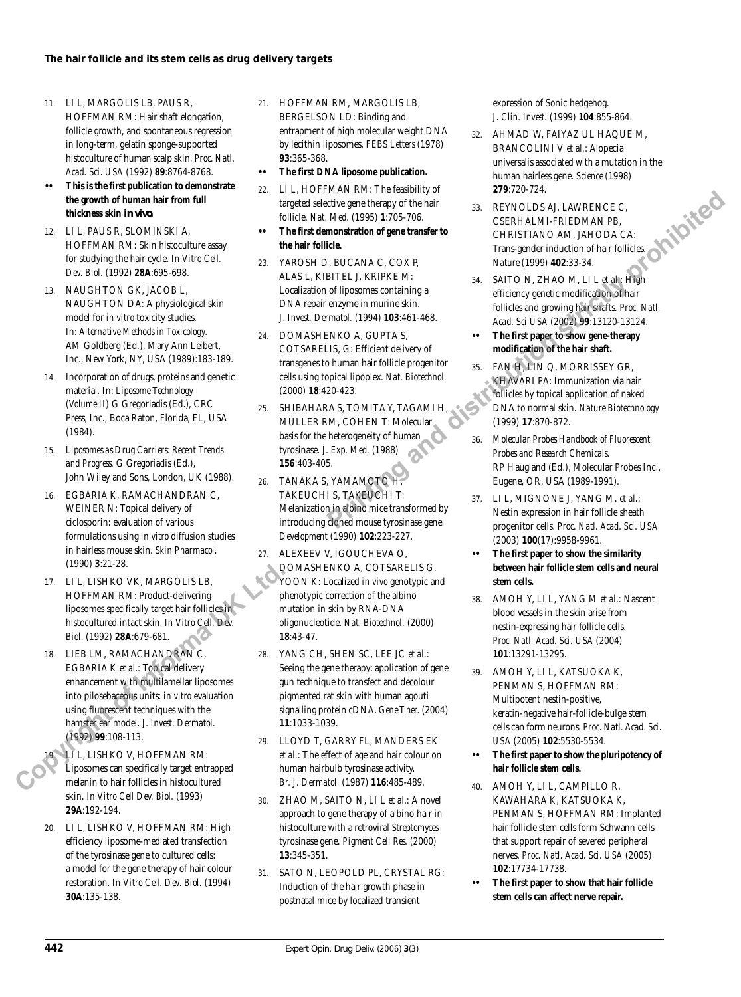- 11. LI L, MARGOLIS LB, PAUS R, HOFFMAN RM: Hair shaft elongation, follicle growth, and spontaneous regression in long-term, gelatin sponge-supported histoculture of human scalp skin. *Proc. Natl. Acad. Sci. USA* (1992) **89**:8764-8768.
- **•• This is the first publication to demonstrate the growth of human hair from full thickness skin** *in vivo***.**
- 12. LI L, PAUS R, SLOMINSKI A, HOFFMAN RM: Skin histoculture assay for studying the hair cycle. *In Vitro Cell. Dev. Biol.* (1992) **28A**:695-698.
- 13. NAUGHTON GK, JACOB L, NAUGHTON DA: A physiological skin model for *in vitro* toxicity studies. In: *Alternative Methods in Toxicology*. AM Goldberg (Ed.), Mary Ann Leibert, Inc., New York, NY, USA (1989):183-189.
- 14. Incorporation of drugs, proteins and genetic material. In: *Liposome Technology (Volume II)* G Gregoriadis (Ed.), CRC Press, Inc., Boca Raton, Florida, FL, USA (1984).
- 15. *Liposomes as Drug Carriers: Recent Trends and Progress*. G Gregoriadis (Ed.), John Wiley and Sons, London, UK (1988).
- 16. EGBARIA K, RAMACHANDRAN C, WEINER N: Topical delivery of ciclosporin: evaluation of various formulations using *in vitro* diffusion studies in hairless mouse skin. *Skin Pharmacol.*  (1990) **3**:21-28.
- 17. LI L, LISHKO VK, MARGOLIS LB, HOFFMAN RM: Product-delivering liposomes specifically target hair follicles in histocultured intact skin. *In Vitro Cell. Dev. Biol.* (1992) **28A**:679-681.
- 18. LIEB LM, RAMACHANDRAN C, EGBARIA K *et al.*: Topical delivery enhancement with multilamellar liposomes into pilosebaceous units: *in vitro* evaluation using fluorescent techniques with the hamster ear model. *J. Invest. Dermatol.*  (1992) **99**:108-113. THE CONSILIST ON SECTION OF THE LATTER OF THE LATTER IN THE LATTER IN THE LATTER IN THE LATTER IS A SECTION OF THE LATTER UNIVERSITY OF THE LATTER OF THE LATTER OF THE LATTER OF THE LATTER IN THE LATTER OF THE LATTER OF TH
	- LI L, LISHKO V, HOFFMAN RM: Liposomes can specifically target entrapped melanin to hair follicles in histocultured skin. *In Vitro Cell Dev. Biol.* (1993) **29A**:192-194.
	- 20. LI L, LISHKO V, HOFFMAN RM: High efficiency liposome-mediated transfection of the tyrosinase gene to cultured cells: a model for the gene therapy of hair colour restoration. *In Vitro Cell. Dev. Biol.* (1994) **30A**:135-138.
- 21. HOFFMAN RM, MARGOLIS LB, BERGELSON LD: Binding and entrapment of high molecular weight DNA by lecithin liposomes. *FEBS Letters* (1978) **93**:365-368.
- **•• The first DNA liposome publication.**
- 22. LI L, HOFFMAN RM: The feasibility of targeted selective gene therapy of the hair follicle. *Nat. Med.* (1995) **1**:705-706.
- **•• The first demonstration of gene transfer to the hair follicle.**
- 23. YAROSH D, BUCANA C, COX P, ALAS L, KIBITEL J, KRIPKE M: Localization of liposomes containing a DNA repair enzyme in murine skin. *J. Invest. Dermatol.* (1994) **103**:461-468.
- 24. DOMASHENKO A, GUPTA S, COTSARELIS, G: Efficient delivery of transgenes to human hair follicle progenitor cells using topical lipoplex. *Nat. Biotechnol.*  (2000) **18**:420-423.
- 25. SHIBAHARA S, TOMITA Y, TAGAMI H, MULLER RM, COHEN T: Molecular basis for the heterogeneity of human tyrosinase. *J. Exp. Med.* (1988) **156**:403-405.
- 26. TANAKA S, YAMAMOTO H, TAKEUCHI S, TAKEUCHI T: Melanization in albino mice transformed by introducing cloned mouse tyrosinase gene. *Development* (1990) **102**:223-227.
- 27. ALEXEEV V, IGOUCHEVA O, DOMASHENKO A, COTSARELIS G, YOON K: Localized *in vivo* genotypic and phenotypic correction of the albino mutation in skin by RNA-DNA oligonucleotide. *Nat. Biotechnol.* (2000) **18***:*43-47.
- 28. YANG CH, SHEN SC, LEE JC *et al.*: Seeing the gene therapy: application of gene gun technique to transfect and decolour pigmented rat skin with human agouti signalling protein cDNA. *Gene Ther.* (2004) **11**:1033-1039.
- 29. LLOYD T, GARRY FL, MANDERS EK *et al.*: The effect of age and hair colour on human hairbulb tyrosinase activity. *Br. J. Dermatol.* (1987) **116**:485-489.
- 30. ZHAO M, SAITO N, LI L *et al.*: A novel approach to gene therapy of albino hair in histoculture with a retroviral *Streptomyces* tyrosinase gene. *Pigment Cell Res.* (2000) **13**:345-351.
- 31. SATO N, LEOPOLD PL, CRYSTAL RG: Induction of the hair growth phase in postnatal mice by localized transient

expression of Sonic hedgehog. *J. Clin. Invest.* (1999) **104**:855-864.

- 32. AHMAD W, FAIYAZ UL HAQUE M, BRANCOLINI V *et al.*: Alopecia universalis associated with a mutation in the human hairless gene. *Science* (1998) **279**:720-724.
- 33. REYNOLDS AJ, LAWRENCE C, CSERHALMI-FRIEDMAN PB, CHRISTIANO AM, JAHODA CA: Trans-gender induction of hair follicles. *Nature* (1999) **402**:33-34.
- 34. SAITO N, ZHAO M, LI L *et al.*: High efficiency genetic modification of hair follicles and growing hair shafts. *Proc. Natl. Acad. Sci USA* (2002) **99**:13120-13124.
- **•• The first paper to show gene-therapy modification of the hair shaft.**
- 35. FAN H, LIN Q, MORRISSEY GR, KHAVARI PA: Immunization via hair follicles by topical application of naked DNA to normal skin. *Nature Biotechnology*  (1999) **17**:870-872. **EXERCTS AND ANDEX ANDEX ANDEX ANDEX ANDEX ANDEX ANDEX ANDEX ANDEX ANDEX ANDEX ANDEX ANDEX ANDEX ANDEX ANDEX ANDEX ANDEX ANDEX ANDEX ANDEX ANDEX ANDEX ANDEX ANDEX ANDEX ANDEX ANDEX ANDEX ANDEX ANDEX ANDEX ANDEX ANDEX ANDEX** 
	- 36. *Molecular Probes Handbook of Fluorescent Probes and Research Chemicals.* RP Haugland (Ed.), Molecular Probes Inc., Eugene, OR, USA (1989-1991).
	- 37. LI L, MIGNONE J, YANG M. *et al.*: Nestin expression in hair follicle sheath progenitor cells. *Proc. Natl. Acad. Sci. USA*  (2003) **100**(17):9958-9961.
	- **•• The first paper to show the similarity between hair follicle stem cells and neural stem cells.**
	- 38. AMOH Y, LI L, YANG M *et al*.: Nascent blood vessels in the skin arise from nestin-expressing hair follicle cells. *Proc. Natl. Acad. Sci. USA* (2004) **101**:13291-13295.
	- 39. AMOH Y, LI L, KATSUOKA K, PENMAN S, HOFFMAN RM: Multipotent nestin-positive, keratin-negative hair-follicle-bulge stem cells can form neurons. *Proc. Natl. Acad. Sci. USA* (2005) **102**:5530-5534.
	- **•• The first paper to show the pluripotency of hair follicle stem cells.**
	- 40. AMOH Y, LI L, CAMPILLO R, KAWAHARA K, KATSUOKA K, PENMAN S, HOFFMAN RM: Implanted hair follicle stem cells form Schwann cells that support repair of severed peripheral nerves. *Proc. Natl. Acad. Sci. USA* (2005) **102***:*17734-17738.
	- **•• The first paper to show that hair follicle stem cells can affect nerve repair.**